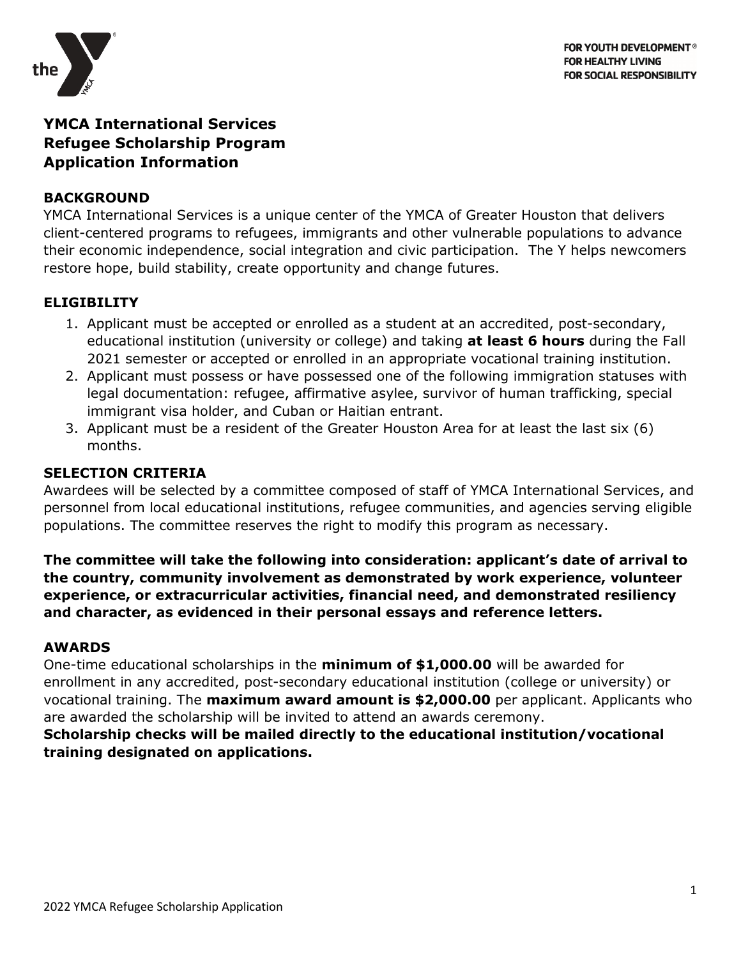

# **YMCA International Services Refugee Scholarship Program Application Information**

## **BACKGROUND**

YMCA International Services is a unique center of the YMCA of Greater Houston that delivers client-centered programs to refugees, immigrants and other vulnerable populations to advance their economic independence, social integration and civic participation. The Y helps newcomers restore hope, build stability, create opportunity and change futures.

## **ELIGIBILITY**

- 1. Applicant must be accepted or enrolled as a student at an accredited, post-secondary, educational institution (university or college) and taking **at least 6 hours** during the Fall 2021 semester or accepted or enrolled in an appropriate vocational training institution.
- 2. Applicant must possess or have possessed one of the following immigration statuses with legal documentation: refugee, affirmative asylee, survivor of human trafficking, special immigrant visa holder, and Cuban or Haitian entrant.
- 3. Applicant must be a resident of the Greater Houston Area for at least the last six (6) months.

## **SELECTION CRITERIA**

Awardees will be selected by a committee composed of staff of YMCA International Services, and personnel from local educational institutions, refugee communities, and agencies serving eligible populations. The committee reserves the right to modify this program as necessary.

**The committee will take the following into consideration: applicant's date of arrival to the country, community involvement as demonstrated by work experience, volunteer experience, or extracurricular activities, financial need, and demonstrated resiliency and character, as evidenced in their personal essays and reference letters.**

#### **AWARDS**

One-time educational scholarships in the **minimum of \$1,000.00** will be awarded for enrollment in any accredited, post-secondary educational institution (college or university) or vocational training. The **maximum award amount is \$2,000.00** per applicant. Applicants who are awarded the scholarship will be invited to attend an awards ceremony.

## **Scholarship checks will be mailed directly to the educational institution/vocational training designated on applications.**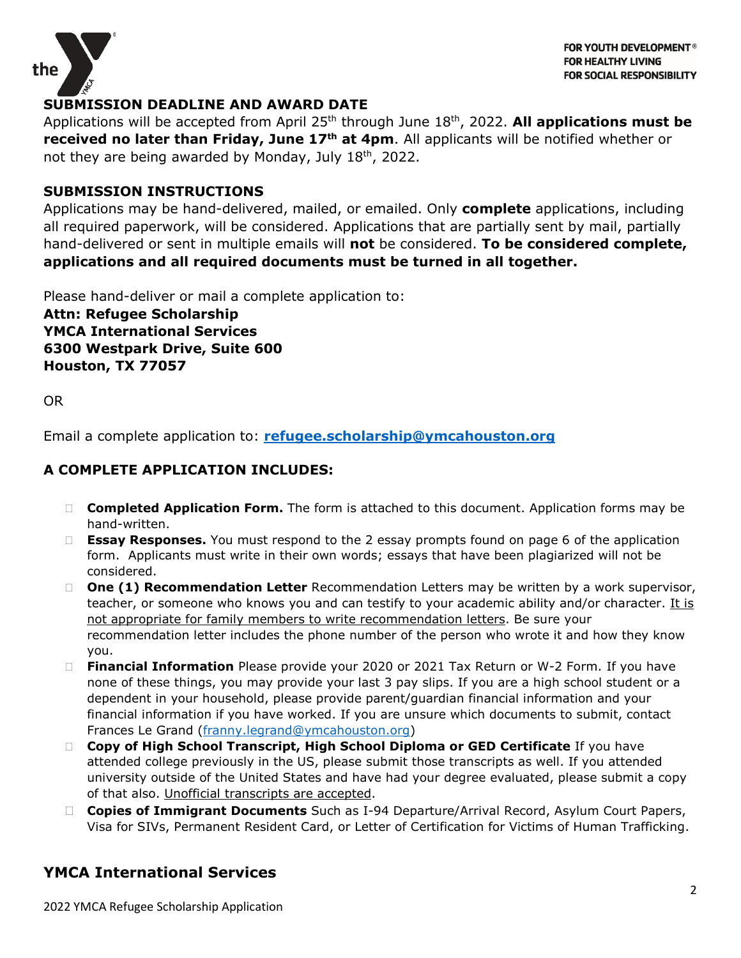

## **SUBMISSION DEADLINE AND AWARD DATE**

Applications will be accepted from April 25<sup>th</sup> through June 18<sup>th</sup>, 2022. **All applications must be received no later than Friday, June 17th at 4pm**. All applicants will be notified whether or not they are being awarded by Monday, July 18th, 2022.

#### **SUBMISSION INSTRUCTIONS**

Applications may be hand-delivered, mailed, or emailed. Only **complete** applications, including all required paperwork, will be considered. Applications that are partially sent by mail, partially hand-delivered or sent in multiple emails will **not** be considered. **To be considered complete, applications and all required documents must be turned in all together.**

Please hand-deliver or mail a complete application to:

**Attn: Refugee Scholarship YMCA International Services 6300 Westpark Drive, Suite 600 Houston, TX 77057**

OR

Email a complete application to: **[refugee.scholarship@ymcahouston.org](mailto:refugee.scholarship@ymcahouston.org)**

## **A COMPLETE APPLICATION INCLUDES:**

- **Completed Application Form.** The form is attached to this document. Application forms may be hand-written.
- **Essay Responses.** You must respond to the 2 essay prompts found on page 6 of the application form. Applicants must write in their own words; essays that have been plagiarized will not be considered.
- **One (1) Recommendation Letter** Recommendation Letters may be written by a work supervisor, teacher, or someone who knows you and can testify to your academic ability and/or character. It is not appropriate for family members to write recommendation letters. Be sure your recommendation letter includes the phone number of the person who wrote it and how they know you.
- **Financial Information** Please provide your 2020 or 2021 Tax Return or W-2 Form. If you have none of these things, you may provide your last 3 pay slips. If you are a high school student or a dependent in your household, please provide parent/guardian financial information and your financial information if you have worked. If you are unsure which documents to submit, contact Frances Le Grand [\(franny.legrand@ymcahouston.org\)](mailto:franny.legrand@ymcahouston.org)
- **Copy of High School Transcript, High School Diploma or GED Certificate** If you have attended college previously in the US, please submit those transcripts as well. If you attended university outside of the United States and have had your degree evaluated, please submit a copy of that also. Unofficial transcripts are accepted.
- **Copies of Immigrant Documents** Such as I-94 Departure/Arrival Record, Asylum Court Papers, Visa for SIVs, Permanent Resident Card, or Letter of Certification for Victims of Human Trafficking.

## **YMCA International Services**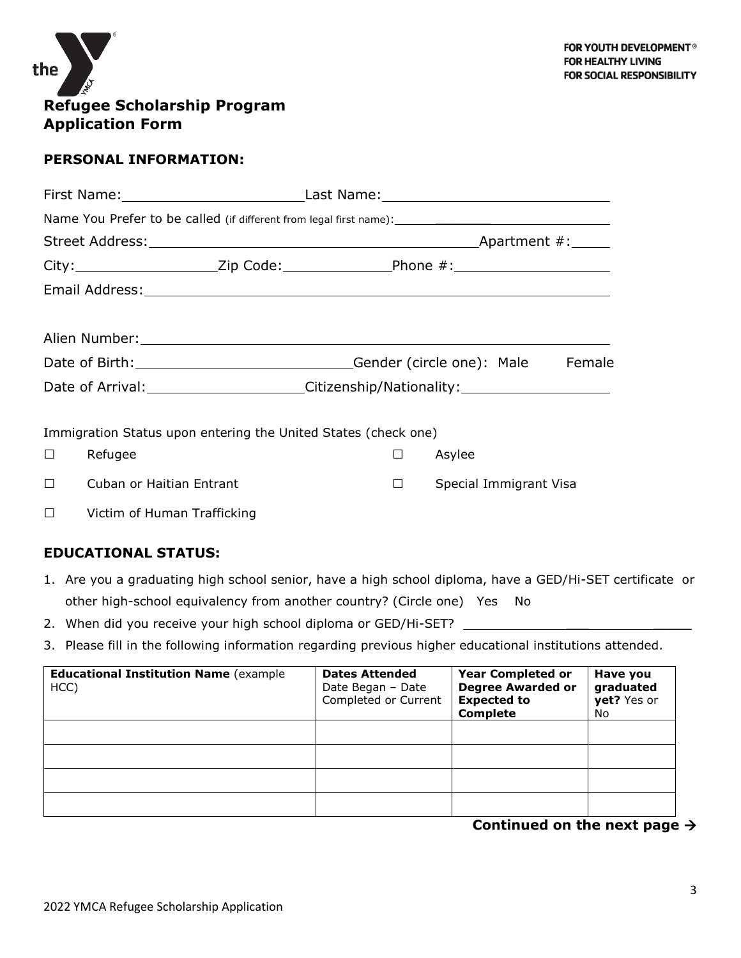

## **PERSONAL INFORMATION:**

|    | City:_________________________Zip Code:_____________________Phone #:_______________________________            |             |                        |
|----|----------------------------------------------------------------------------------------------------------------|-------------|------------------------|
|    |                                                                                                                |             |                        |
|    |                                                                                                                |             |                        |
|    | Alien Number: National Alien Number of the Alien Number of the Alien Number of the Alien Alien Alien Alien Ali |             |                        |
|    |                                                                                                                |             | Female                 |
|    | Date of Arrival: ________________________Citizenship/Nationality: ______________                               |             |                        |
|    |                                                                                                                |             |                        |
|    | Immigration Status upon entering the United States (check one)                                                 |             |                        |
| □. | Refugee                                                                                                        | □<br>Asylee |                        |
| П  | Cuban or Haitian Entrant                                                                                       | $\Box$      | Special Immigrant Visa |
| □  | Victim of Human Trafficking                                                                                    |             |                        |

#### **EDUCATIONAL STATUS:**

- 1. Are you a graduating high school senior, have a high school diploma, have a GED/Hi-SET certificate or other high-school equivalency from another country? (Circle one) Yes No
- 2. When did you receive your high school diploma or GED/Hi-SET? \_\_\_\_\_\_\_\_\_\_
- 3. Please fill in the following information regarding previous higher educational institutions attended.

| <b>Educational Institution Name (example)</b><br>HCC) | <b>Dates Attended</b><br>Date Began - Date<br>Completed or Current | <b>Year Completed or</b><br><b>Degree Awarded or</b><br><b>Expected to</b><br><b>Complete</b> | Have you<br>graduated<br>yet? Yes or<br>No. |
|-------------------------------------------------------|--------------------------------------------------------------------|-----------------------------------------------------------------------------------------------|---------------------------------------------|
|                                                       |                                                                    |                                                                                               |                                             |
|                                                       |                                                                    |                                                                                               |                                             |
|                                                       |                                                                    |                                                                                               |                                             |
|                                                       |                                                                    |                                                                                               |                                             |

**Continued on the next page**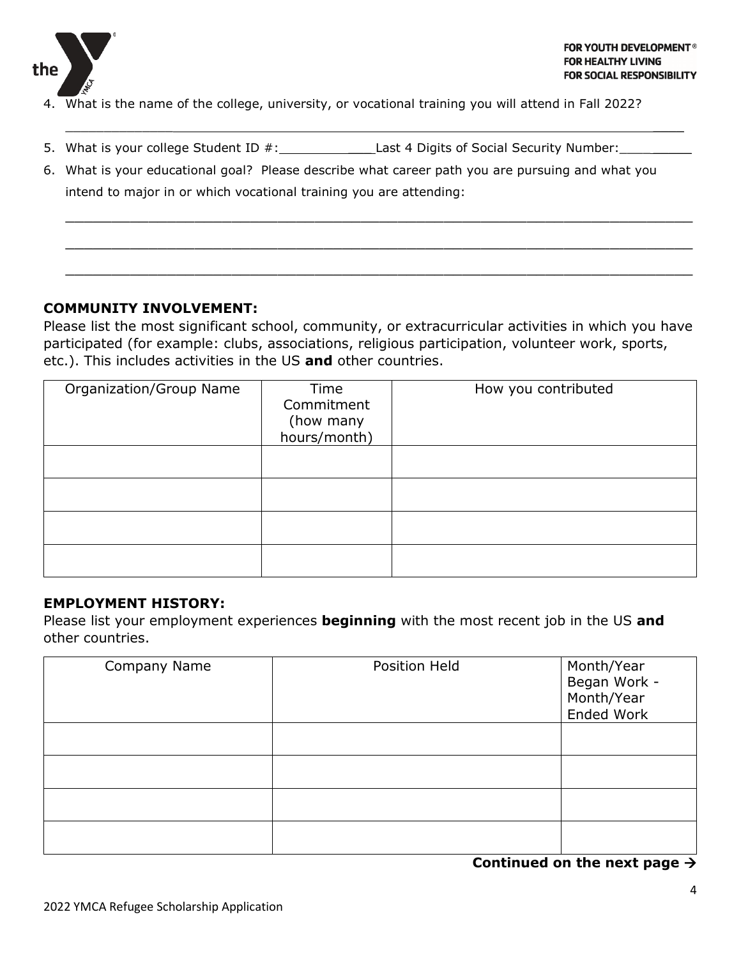

- 4. What is the name of the college, university, or vocational training you will attend in Fall 2022?
- 5. What is your college Student ID #: Last 4 Digits of Social Security Number:
- 6. What is your educational goal? Please describe what career path you are pursuing and what you intend to major in or which vocational training you are attending:

 $\overline{\phantom{a}}$  , and the contract of the contract of the contract of the contract of the contract of the contract of the contract of the contract of the contract of the contract of the contract of the contract of the contrac

 $\_$  , and the set of the set of the set of the set of the set of the set of the set of the set of the set of the set of the set of the set of the set of the set of the set of the set of the set of the set of the set of th

\_\_\_\_\_\_\_\_\_\_\_\_\_\_\_\_\_\_\_\_\_\_\_\_\_\_\_\_\_\_\_\_\_\_\_\_\_\_\_\_\_\_\_\_\_\_\_\_\_\_\_\_\_\_\_\_\_\_\_\_\_\_\_\_\_\_\_\_

 $\_$  , and the set of the set of the set of the set of the set of the set of the set of the set of the set of the set of the set of the set of the set of the set of the set of the set of the set of the set of the set of th

#### **COMMUNITY INVOLVEMENT:**

Please list the most significant school, community, or extracurricular activities in which you have participated (for example: clubs, associations, religious participation, volunteer work, sports, etc.). This includes activities in the US **and** other countries.

| Organization/Group Name | Time<br>Commitment<br>(how many<br>hours/month) | How you contributed |
|-------------------------|-------------------------------------------------|---------------------|
|                         |                                                 |                     |
|                         |                                                 |                     |
|                         |                                                 |                     |
|                         |                                                 |                     |

#### **EMPLOYMENT HISTORY:**

Please list your employment experiences **beginning** with the most recent job in the US **and** other countries.

| Company Name | Position Held | Month/Year<br>Began Work -<br>Month/Year<br><b>Ended Work</b> |
|--------------|---------------|---------------------------------------------------------------|
|              |               |                                                               |
|              |               |                                                               |
|              |               |                                                               |
|              |               |                                                               |

**Continued on the next page**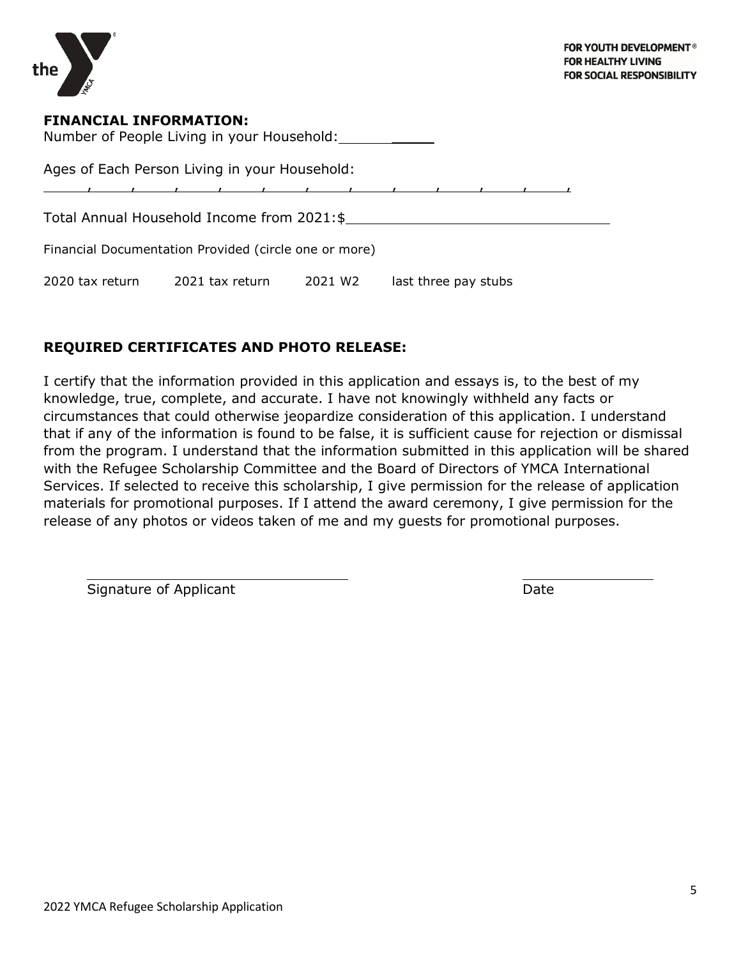

## **FINANCIAL INFORMATION:**

Number of People Living in your Household: \_\_\_\_\_

Ages of Each Person Living in your Household:

, , , , , , , , , , , ,

Total Annual Household Income from 2021:\$

Financial Documentation Provided (circle one or more)

2020 tax return 2021 tax return 2021 W2 last three pay stubs

## **REQUIRED CERTIFICATES AND PHOTO RELEASE:**

I certify that the information provided in this application and essays is, to the best of my knowledge, true, complete, and accurate. I have not knowingly withheld any facts or circumstances that could otherwise jeopardize consideration of this application. I understand that if any of the information is found to be false, it is sufficient cause for rejection or dismissal from the program. I understand that the information submitted in this application will be shared with the Refugee Scholarship Committee and the Board of Directors of YMCA International Services. If selected to receive this scholarship, I give permission for the release of application materials for promotional purposes. If I attend the award ceremony, I give permission for the release of any photos or videos taken of me and my guests for promotional purposes.

Signature of Applicant Date Date Date